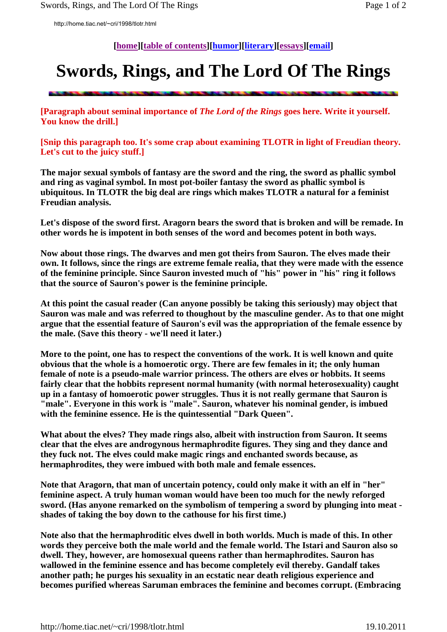http://home.tiac.net/~cri/1998/tlotr.html

**[home][table of contents][humor][literary][essays][email]** 

## **Swords, Rings, and The Lord Of The Rings**

**[Paragraph about seminal importance of** *The Lord of the Rings* **goes here. Write it yourself. You know the drill.]** 

**[Snip this paragraph too. It's some crap about examining TLOTR in light of Freudian theory. Let's cut to the juicy stuff.]** 

**The major sexual symbols of fantasy are the sword and the ring, the sword as phallic symbol and ring as vaginal symbol. In most pot-boiler fantasy the sword as phallic symbol is ubiquitous. In TLOTR the big deal are rings which makes TLOTR a natural for a feminist Freudian analysis.** 

**Let's dispose of the sword first. Aragorn bears the sword that is broken and will be remade. In other words he is impotent in both senses of the word and becomes potent in both ways.** 

**Now about those rings. The dwarves and men got theirs from Sauron. The elves made their own. It follows, since the rings are extreme female realia, that they were made with the essence of the feminine principle. Since Sauron invested much of "his" power in "his" ring it follows that the source of Sauron's power is the feminine principle.** 

**At this point the casual reader (Can anyone possibly be taking this seriously) may object that Sauron was male and was referred to thoughout by the masculine gender. As to that one might argue that the essential feature of Sauron's evil was the appropriation of the female essence by the male. (Save this theory - we'll need it later.)** 

**More to the point, one has to respect the conventions of the work. It is well known and quite obvious that the whole is a homoerotic orgy. There are few females in it; the only human female of note is a pseudo-male warrior princess. The others are elves or hobbits. It seems fairly clear that the hobbits represent normal humanity (with normal heterosexuality) caught up in a fantasy of homoerotic power struggles. Thus it is not really germane that Sauron is "male". Everyone in this work is "male". Sauron, whatever his nominal gender, is imbued with the feminine essence. He is the quintessential "Dark Queen".** 

**What about the elves? They made rings also, albeit with instruction from Sauron. It seems clear that the elves are androgynous hermaphrodite figures. They sing and they dance and they fuck not. The elves could make magic rings and enchanted swords because, as hermaphrodites, they were imbued with both male and female essences.** 

**Note that Aragorn, that man of uncertain potency, could only make it with an elf in "her" feminine aspect. A truly human woman would have been too much for the newly reforged sword. (Has anyone remarked on the symbolism of tempering a sword by plunging into meat shades of taking the boy down to the cathouse for his first time.)** 

**Note also that the hermaphroditic elves dwell in both worlds. Much is made of this. In other words they perceive both the male world and the female world. The Istari and Sauron also so dwell. They, however, are homosexual queens rather than hermaphrodites. Sauron has wallowed in the feminine essence and has become completely evil thereby. Gandalf takes another path; he purges his sexuality in an ecstatic near death religious experience and becomes purified whereas Saruman embraces the feminine and becomes corrupt. (Embracing**